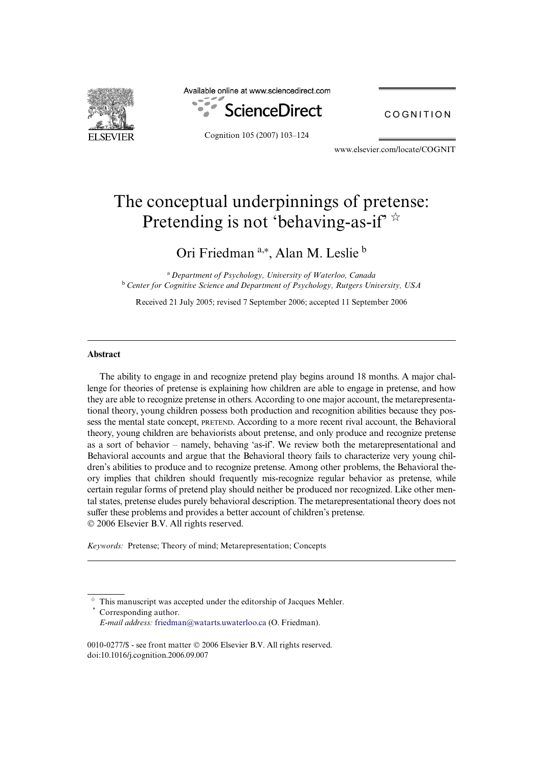

Available online at www.sciencedirect.com



Cognition 105 (2007) 103–124

COGNITION

www.elsevier.com/locate/COGNIT

# The conceptual underpinnings of pretense: Pretending is not 'behaving-as-if'  $\dot{x}$

Ori Friedman<sup>a,\*</sup>, Alan M. Leslie<sup>b</sup>

<sup>a</sup>*Department of Psychology, University of Waterloo, Canada* <sup>b</sup>*Center for Cognitive Science and Department of Psychology, Rutgers University, USA*

Received 21 July 2005; revised 7 September 2006; accepted 11 September 2006

# **Abstract**

The ability to engage in and recognize pretend play begins around 18 months. A major challenge for theories of pretense is explaining how children are able to engage in pretense, and how they are able to recognize pretense in others. According to one major account, the metarepresentational theory, young children possess both production and recognition abilities because they possess the mental state concept, PRETEND. According to a more recent rival account, the Behavioral theory, young children are behaviorists about pretense, and only produce and recognize pretense as a sort of behavior – namely, behaving 'as-if'. We review both the metarepresentational and Behavioral accounts and argue that the Behavioral theory fails to characterize very young children's abilities to produce and to recognize pretense. Among other problems, the Behavioral theory implies that children should frequently mis-recognize regular behavior as pretense, while certain regular forms of pretend play should neither be produced nor recognized. Like other mental states, pretense eludes purely behavioral description. The metarepresentational theory does not suffer these problems and provides a better account of children's pretense. © 2006 Elsevier B.V. All rights reserved.

*Keywords:* Pretense; Theory of mind; Metarepresentation; Concepts

- This manuscript was accepted under the editorship of Jacques Mehler. Corresponding author. *E-mail address:* [friedman@watarts.uwaterloo.ca](mailto: friedman@watarts.uwaterloo.ca) (O. Friedman).

<sup>0010-0277/\$ -</sup> see front matter © 2006 Elsevier B.V. All rights reserved. doi:10.1016/j.cognition.2006.09.007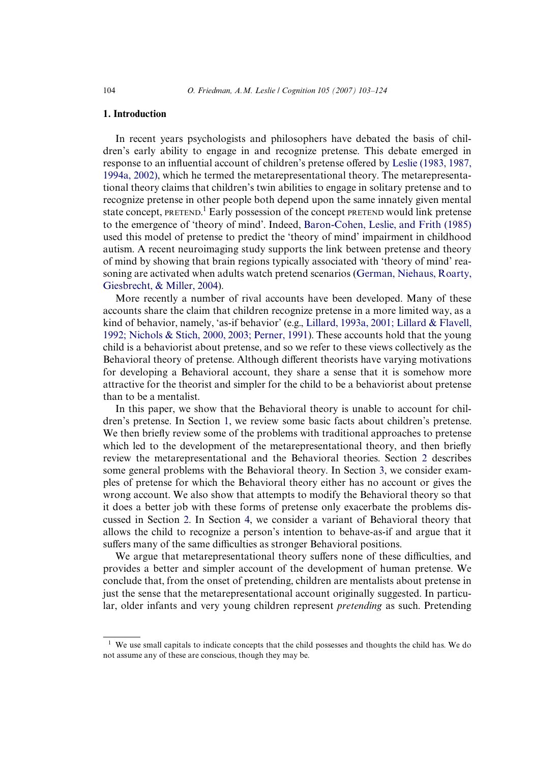# <span id="page-1-0"></span>**1. Introduction**

In recent years psychologists and philosophers have debated the basis of children's early ability to engage in and recognize pretense. This debate emerged in response to an influential account of children's pretense offered by [Leslie \(1983, 1987,](#page-19-0) [1994a, 2002\)](#page-19-0), which he termed the metarepresentational theory. The metarepresentational theory claims that children's twin abilities to engage in solitary pretense and to recognize pretense in other people both depend upon the same innately given mental state concept, PRETEND.<sup>1</sup> Early possession of the concept PRETEND would link pretense to the emergence of 'theory of mind'. Indeed, [Baron-Cohen, Leslie, and Frith \(1985\)](#page-18-0) used this model of pretense to predict the 'theory of mind' impairment in childhood autism. A recent neuroimaging study supports the link between pretense and theory of mind by showing that brain regions typically associated with 'theory of mind' reasoning are activated when adults watch pretend scenarios [\(German, Niehaus, Roarty,](#page-19-1) [Giesbrecht, & Miller, 2004](#page-19-1)).

More recently a number of rival accounts have been developed. Many of these accounts share the claim that children recognize pretense in a more limited way, as a kind of behavior, namely, 'as-if behavior' (e.g., [Lillard, 1993a, 2001; Lillard & Flavell,](#page-20-0) [1992; Nichols & Stich, 2000, 2003; Perner, 1991](#page-20-0)). These accounts hold that the young child is a behaviorist about pretense, and so we refer to these views collectively as the Behavioral theory of pretense. Although different theorists have varying motivations for developing a Behavioral account, they share a sense that it is somehow more attractive for the theorist and simpler for the child to be a behaviorist about pretense than to be a mentalist.

In this paper, we show that the Behavioral theory is unable to account for children's pretense. In Section [1](#page-1-0), we review some basic facts about children's pretense. We then briefly review some of the problems with traditional approaches to pretense which led to the development of the metarepresentational theory, and then briefly review the metarepresentational and the Behavioral theories. Section [2](#page-7-0) describes some general problems with the Behavioral theory. In Section [3](#page-12-0), we consider examples of pretense for which the Behavioral theory either has no account or gives the wrong account. We also show that attempts to modify the Behavioral theory so that it does a better job with these forms of pretense only exacerbate the problems discussed in Section [2.](#page-7-0) In Section [4](#page-15-0), we consider a variant of Behavioral theory that allows the child to recognize a person's intention to behave-as-if and argue that it suffers many of the same difficulties as stronger Behavioral positions.

We argue that metarepresentational theory suffers none of these difficulties, and provides a better and simpler account of the development of human pretense. We conclude that, from the onset of pretending, children are mentalists about pretense in just the sense that the metarepresentational account originally suggested. In particular, older infants and very young children represent *pretending* as such. Pretending

<sup>1</sup> We use small capitals to indicate concepts that the child possesses and thoughts the child has. We do not assume any of these are conscious, though they may be.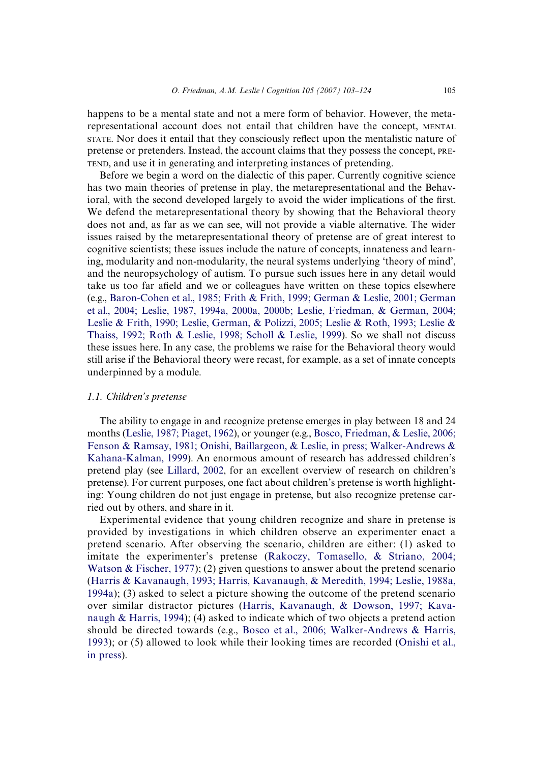happens to be a mental state and not a mere form of behavior. However, the metarepresentational account does not entail that children have the concept, MENTAL STATE. Nor does it entail that they consciously reflect upon the mentalistic nature of pretense or pretenders. Instead, the account claims that they possess the concept, PRE-TEND, and use it in generating and interpreting instances of pretending.

Before we begin a word on the dialectic of this paper. Currently cognitive science has two main theories of pretense in play, the metarepresentational and the Behavioral, with the second developed largely to avoid the wider implications of the first. We defend the metarepresentational theory by showing that the Behavioral theory does not and, as far as we can see, will not provide a viable alternative. The wider issues raised by the metarepresentational theory of pretense are of great interest to cognitive scientists; these issues include the nature of concepts, innateness and learning, modularity and non-modularity, the neural systems underlying 'theory of mind', and the neuropsychology of autism. To pursue such issues here in any detail would take us too far afield and we or colleagues have written on these topics elsewhere (e.g., [Baron-Cohen et al., 1985; Frith & Frith, 1999; German & Leslie, 2001; German](#page-18-0) [et al., 2004; Leslie, 1987, 1994a, 2000a, 2000b; Leslie, Friedman, & German, 2004;](#page-18-0) Leslie & Frith, 1990; Leslie, German, & Polizzi, 2005; Leslie & Roth, 1993; Leslie & [Thaiss, 1992; Roth & Leslie, 1998; Scholl & Leslie, 1999\)](#page-18-0). So we shall not discuss these issues here. In any case, the problems we raise for the Behavioral theory would still arise if the Behavioral theory were recast, for example, as a set of innate concepts underpinned by a module.

## *1.1. Children's pretense*

The ability to engage in and recognize pretense emerges in play between 18 and 24 months ([Leslie, 1987; Piaget, 1962\)](#page-19-2), or younger (e.g., [Bosco, Friedman, & Leslie, 2006;](#page-19-3) [Fenson & Ramsay, 1981; Onishi, Baillargeon, & Leslie, in press; Walker-Andrews &](#page-19-3) [Kahana-Kalman, 1999\)](#page-19-3). An enormous amount of research has addressed children's pretend play (see [Lillard, 2002,](#page-20-1) for an excellent overview of research on children's pretense). For current purposes, one fact about children's pretense is worth highlighting: Young children do not just engage in pretense, but also recognize pretense carried out by others, and share in it.

Experimental evidence that young children recognize and share in pretense is provided by investigations in which children observe an experimenter enact a pretend scenario. After observing the scenario, children are either: (1) asked to imitate the experimenter's pretense ([Rakoczy, Tomasello, & Striano, 2004;](#page-20-2) [Watson & Fischer, 1977\)](#page-20-2); (2) given questions to answer about the pretend scenario [\(Harris & Kavanaugh, 1993; Harris, Kavanaugh, & Meredith, 1994; Leslie, 1988a,](#page-19-4) [1994a\)](#page-19-4); (3) asked to select a picture showing the outcome of the pretend scenario over similar distractor pictures [\(Harris, Kavanaugh, & Dowson, 1997; Kava](#page-19-5)[naugh & Harris, 1994\)](#page-19-5); (4) asked to indicate which of two objects a pretend action should be directed towards (e.g., [Bosco et al., 2006; Walker-Andrews & Harris,](#page-19-3) [1993\)](#page-19-3); or (5) allowed to look while their looking times are recorded [\(Onishi et al.,](#page-20-3) [in press](#page-20-3)).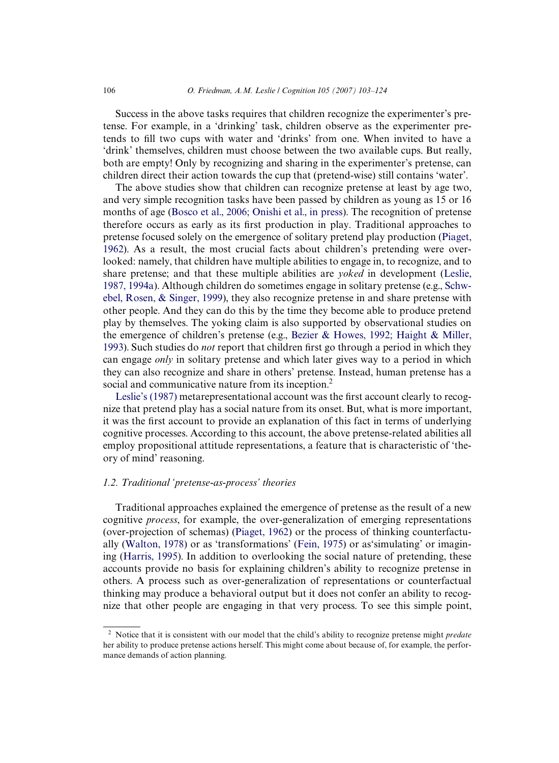Success in the above tasks requires that children recognize the experimenter's pretense. For example, in a 'drinking' task, children observe as the experimenter pretends to fill two cups with water and 'drinks' from one. When invited to have a 'drink' themselves, children must choose between the two available cups. But really, both are empty! Only by recognizing and sharing in the experimenter's pretense, can children direct their action towards the cup that (pretend-wise) still contains 'water'.

The above studies show that children can recognize pretense at least by age two, and very simple recognition tasks have been passed by children as young as 15 or 16 months of age [\(Bosco et al., 2006; Onishi et al., in press\)](#page-19-3). The recognition of pretense therefore occurs as early as its first production in play. Traditional approaches to pretense focused solely on the emergence of solitary pretend play production [\(Piaget,](#page-20-4) [1962](#page-20-4)). As a result, the most crucial facts about children's pretending were overlooked: namely, that children have multiple abilities to engage in, to recognize, and to share pretense; and that these multiple abilities are *yoked* in development [\(Leslie,](#page-19-2) [1987, 1994a\)](#page-19-2). Although children do sometimes engage in solitary pretense (e.g., [Schw](#page-20-5)[ebel, Rosen, & Singer, 1999\)](#page-20-5), they also recognize pretense in and share pretense with other people. And they can do this by the time they become able to produce pretend play by themselves. The yoking claim is also supported by observational studies on the emergence of children's pretense (e.g., [Bezier & Howes, 1992; Haight & Miller,](#page-19-6) [1993](#page-19-6)). Such studies do *not* report that children first go through a period in which they can engage *only* in solitary pretense and which later gives way to a period in which they can also recognize and share in others' pretense. Instead, human pretense has a social and communicative nature from its inception.<sup>2</sup>

[Leslie's \(1987\)](#page-19-2) metarepresentational account was the first account clearly to recognize that pretend play has a social nature from its onset. But, what is more important, it was the first account to provide an explanation of this fact in terms of underlying cognitive processes. According to this account, the above pretense-related abilities all employ propositional attitude representations, a feature that is characteristic of 'theory of mind' reasoning.

# *1.2. Traditional 'pretense-as-process' theories*

Traditional approaches explained the emergence of pretense as the result of a new cognitive *process*, for example, the over-generalization of emerging representations (over-projection of schemas) [\(Piaget, 1962](#page-20-4)) or the process of thinking counterfactually ([Walton, 1978](#page-21-0)) or as 'transformations' ([Fein, 1975\)](#page-19-7) or as'simulating' or imagining [\(Harris, 1995](#page-19-8)). In addition to overlooking the social nature of pretending, these accounts provide no basis for explaining children's ability to recognize pretense in others. A process such as over-generalization of representations or counterfactual thinking may produce a behavioral output but it does not confer an ability to recognize that other people are engaging in that very process. To see this simple point,

<sup>2</sup> Notice that it is consistent with our model that the child's ability to recognize pretense might *predate* her ability to produce pretense actions herself. This might come about because of, for example, the performance demands of action planning.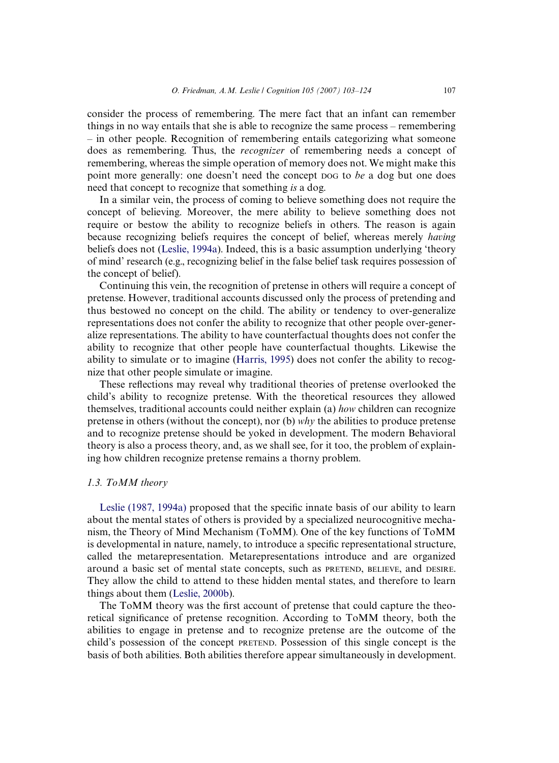consider the process of remembering. The mere fact that an infant can remember things in no way entails that she is able to recognize the same process – remembering – in other people. Recognition of remembering entails categorizing what someone does as remembering. Thus, the *recognizer* of remembering needs a concept of remembering, whereas the simple operation of memory does not. We might make this point more generally: one doesn't need the concept DOG to *be* a dog but one does need that concept to recognize that something *is* a dog.

In a similar vein, the process of coming to believe something does not require the concept of believing. Moreover, the mere ability to believe something does not require or bestow the ability to recognize beliefs in others. The reason is again because recognizing beliefs requires the concept of belief, whereas merely *having* beliefs does not [\(Leslie, 1994a\)](#page-19-9). Indeed, this is a basic assumption underlying 'theory of mind' research (e.g., recognizing belief in the false belief task requires possession of the concept of belief).

Continuing this vein, the recognition of pretense in others will require a concept of pretense. However, traditional accounts discussed only the process of pretending and thus bestowed no concept on the child. The ability or tendency to over-generalize representations does not confer the ability to recognize that other people over-generalize representations. The ability to have counterfactual thoughts does not confer the ability to recognize that other people have counterfactual thoughts. Likewise the ability to simulate or to imagine [\(Harris, 1995\)](#page-19-8) does not confer the ability to recognize that other people simulate or imagine.

These reflections may reveal why traditional theories of pretense overlooked the child's ability to recognize pretense. With the theoretical resources they allowed themselves, traditional accounts could neither explain (a) *how* children can recognize pretense in others (without the concept), nor (b) *why* the abilities to produce pretense and to recognize pretense should be yoked in development. The modern Behavioral theory is also a process theory, and, as we shall see, for it too, the problem of explaining how children recognize pretense remains a thorny problem.

# *1.3. ToMM theory*

Leslie  $(1987, 1994a)$  proposed that the specific innate basis of our ability to learn about the mental states of others is provided by a specialized neurocognitive mechanism, the Theory of Mind Mechanism (ToMM). One of the key functions of ToMM is developmental in nature, namely, to introduce a specific representational structure, called the metarepresentation. Metarepresentations introduce and are organized around a basic set of mental state concepts, such as PRETEND, BELIEVE, and DESIRE. They allow the child to attend to these hidden mental states, and therefore to learn things about them [\(Leslie, 2000b\)](#page-19-10).

The ToMM theory was the first account of pretense that could capture the theoretical significance of pretense recognition. According to ToMM theory, both the abilities to engage in pretense and to recognize pretense are the outcome of the child's possession of the concept PRETEND. Possession of this single concept is the basis of both abilities. Both abilities therefore appear simultaneously in development.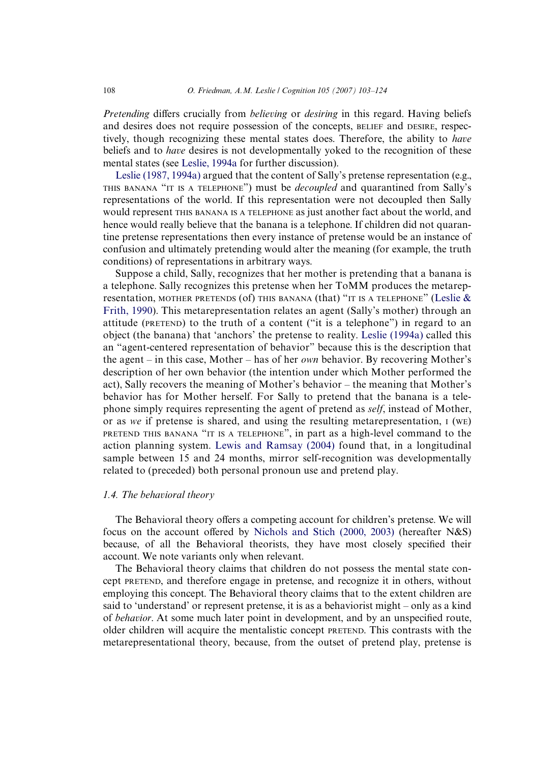*Pretending* differs crucially from *believing* or *desiring* in this regard. Having beliefs and desires does not require possession of the concepts, BELIEF and DESIRE, respectively, though recognizing these mental states does. Therefore, the ability to *have* beliefs and to *have* desires is not developmentally yoked to the recognition of these mental states (see [Leslie, 1994a](#page-19-9) for further discussion).

[Leslie \(1987, 1994a\)](#page-19-2) argued that the content of Sally's pretense representation (e.g., THIS BANANA "IT IS <sup>A</sup> TELEPHONE") must be *decoupled* and quarantined from Sally's representations of the world. If this representation were not decoupled then Sally would represent THIS BANANA IS <sup>A</sup> TELEPHONE as just another fact about the world, and hence would really believe that the banana is a telephone. If children did not quarantine pretense representations then every instance of pretense would be an instance of confusion and ultimately pretending would alter the meaning (for example, the truth conditions) of representations in arbitrary ways.

Suppose a child, Sally, recognizes that her mother is pretending that a banana is a telephone. Sally recognizes this pretense when her ToMM produces the metarepresentation, MOTHER PRETENDS (of) THIS BANANA (that) "IT IS <sup>A</sup> TELEPHONE" [\(Leslie &](#page-20-6) [Frith, 1990\)](#page-20-6). This metarepresentation relates an agent (Sally's mother) through an attitude (PRETEND) to the truth of a content ("it is a telephone") in regard to an object (the banana) that 'anchors' the pretense to reality. [Leslie \(1994a\)](#page-19-9) called this an "agent-centered representation of behavior" because this is the description that the agent – in this case, Mother – has of her *own* behavior. By recovering Mother's description of her own behavior (the intention under which Mother performed the act), Sally recovers the meaning of Mother's behavior – the meaning that Mother's behavior has for Mother herself. For Sally to pretend that the banana is a telephone simply requires representing the agent of pretend as *self*, instead of Mother, or as *we* if pretense is shared, and using the resulting metarepresentation, I (WE) PRETEND THIS BANANA "IT IS <sup>A</sup> TELEPHONE", in part as a high-level command to the action planning system. [Lewis and Ramsay \(2004\)](#page-20-7) found that, in a longitudinal sample between 15 and 24 months, mirror self-recognition was developmentally related to (preceded) both personal pronoun use and pretend play.

# *1.4. The behavioral theory*

The Behavioral theory offers a competing account for children's pretense. We will focus on the account offered by [Nichols and Stich \(2000, 2003\)](#page-20-8) (hereafter N&S) because, of all the Behavioral theorists, they have most closely specified their account. We note variants only when relevant.

The Behavioral theory claims that children do not possess the mental state concept PRETEND, and therefore engage in pretense, and recognize it in others, without employing this concept. The Behavioral theory claims that to the extent children are said to 'understand' or represent pretense, it is as a behaviorist might – only as a kind of *behavior*. At some much later point in development, and by an unspecified route, older children will acquire the mentalistic concept PRETEND. This contrasts with the metarepresentational theory, because, from the outset of pretend play, pretense is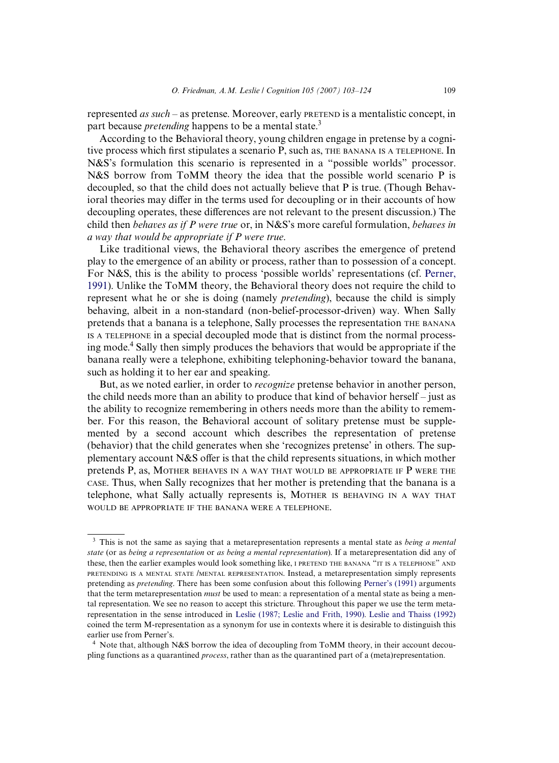represented *as such* – as pretense. Moreover, early PRETEND is a mentalistic concept, in part because *pretending* happens to be a mental state.<sup>3</sup>

According to the Behavioral theory, young children engage in pretense by a cognitive process which first stipulates a scenario P, such as, THE BANANA IS A TELEPHONE. In N&S's formulation this scenario is represented in a "possible worlds" processor. N&S borrow from ToMM theory the idea that the possible world scenario P is decoupled, so that the child does not actually believe that P is true. (Though Behavioral theories may differ in the terms used for decoupling or in their accounts of how decoupling operates, these differences are not relevant to the present discussion.) The child then *behaves as if P were true* or, in N&S's more careful formulation, *behaves in a way that would be appropriate if P were true*.

Like traditional views, the Behavioral theory ascribes the emergence of pretend play to the emergence of an ability or process, rather than to possession of a concept. For N&S, this is the ability to process 'possible worlds' representations (cf. [Perner,](#page-20-9) [1991\)](#page-20-9). Unlike the ToMM theory, the Behavioral theory does not require the child to represent what he or she is doing (namely *pretending*), because the child is simply behaving, albeit in a non-standard (non-belief-processor-driven) way. When Sally pretends that a banana is a telephone, Sally processes the representation THE BANANA IS <sup>A</sup> TELEPHONE in a special decoupled mode that is distinct from the normal processing mode.<sup>4</sup> Sally then simply produces the behaviors that would be appropriate if the banana really were a telephone, exhibiting telephoning-behavior toward the banana, such as holding it to her ear and speaking.

But, as we noted earlier, in order to *recognize* pretense behavior in another person, the child needs more than an ability to produce that kind of behavior herself – just as the ability to recognize remembering in others needs more than the ability to remember. For this reason, the Behavioral account of solitary pretense must be supplemented by a second account which describes the representation of pretense (behavior) that the child generates when she 'recognizes pretense' in others. The supplementary account  $N&S$  offer is that the child represents situations, in which mother pretends P, as, MOTHER BEHAVES IN <sup>A</sup> WAY THAT WOULD BE APPROPRIATE IF P WERE THE CASE. Thus, when Sally recognizes that her mother is pretending that the banana is a telephone, what Sally actually represents is, MOTHER IS BEHAVING IN <sup>A</sup> WAY THAT WOULD BE APPROPRIATE IF THE BANANA WERE <sup>A</sup> TELEPHONE.

<sup>3</sup> This is not the same as saying that a metarepresentation represents a mental state as *being a mental state* (or as *being a representation* or *as being a mental representation*). If a metarepresentation did any of these, then the earlier examples would look something like, I PRETEND THE BANANA "IT IS <sup>A</sup> TELEPHONE" AND PRETENDING IS <sup>A</sup> MENTAL STATE /MENTAL REPRESENTATION. Instead, a metarepresentation simply represents pretending as *pretending*. There has been some confusion about this following [Perner's \(1991\)](#page-20-9) arguments that the term metarepresentation *must* be used to mean: a representation of a mental state as being a mental representation. We see no reason to accept this stricture. Throughout this paper we use the term metarepresentation in the sense introduced in [Leslie \(1987; Leslie and Frith, 1990\).](#page-19-2) [Leslie and Thaiss \(1992\)](#page-20-10) coined the term M-representation as a synonym for use in contexts where it is desirable to distinguish this earlier use from Perner's.

<sup>4</sup> Note that, although N&S borrow the idea of decoupling from ToMM theory, in their account decoupling functions as a quarantined *process*, rather than as the quarantined part of a (meta)representation.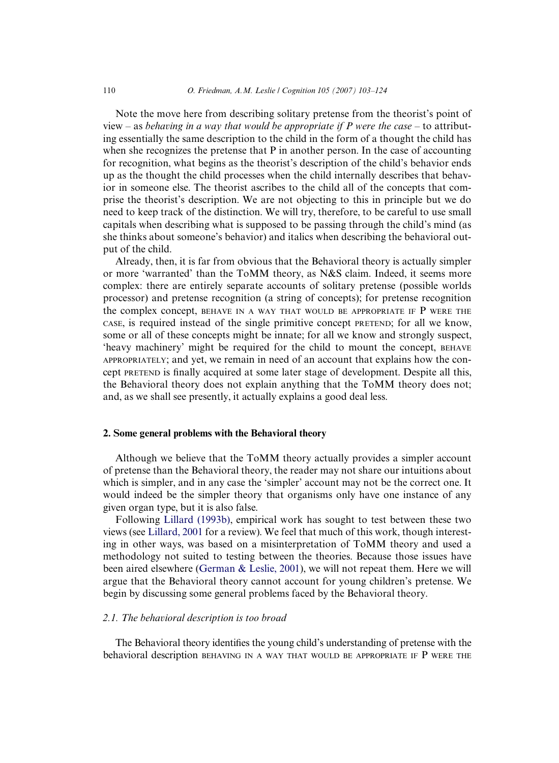Note the move here from describing solitary pretense from the theorist's point of view – as *behaving in a way that would be appropriate if P were the case* – to attributing essentially the same description to the child in the form of a thought the child has when she recognizes the pretense that P in another person. In the case of accounting for recognition, what begins as the theorist's description of the child's behavior ends up as the thought the child processes when the child internally describes that behavior in someone else. The theorist ascribes to the child all of the concepts that comprise the theorist's description. We are not objecting to this in principle but we do need to keep track of the distinction. We will try, therefore, to be careful to use small capitals when describing what is supposed to be passing through the child's mind (as she thinks about someone's behavior) and italics when describing the behavioral output of the child.

Already, then, it is far from obvious that the Behavioral theory is actually simpler or more 'warranted' than the ToMM theory, as N&S claim. Indeed, it seems more complex: there are entirely separate accounts of solitary pretense (possible worlds processor) and pretense recognition (a string of concepts); for pretense recognition the complex concept, BEHAVE IN <sup>A</sup> WAY THAT WOULD BE APPROPRIATE IF P WERE THE CASE, is required instead of the single primitive concept PRETEND; for all we know, some or all of these concepts might be innate; for all we know and strongly suspect, 'heavy machinery' might be required for the child to mount the concept, BEHAVE APPROPRIATELY; and yet, we remain in need of an account that explains how the concept PRETEND is finally acquired at some later stage of development. Despite all this, the Behavioral theory does not explain anything that the ToMM theory does not; and, as we shall see presently, it actually explains a good deal less.

# <span id="page-7-0"></span>**2. Some general problems with the Behavioral theory**

Although we believe that the ToMM theory actually provides a simpler account of pretense than the Behavioral theory, the reader may not share our intuitions about which is simpler, and in any case the 'simpler' account may not be the correct one. It would indeed be the simpler theory that organisms only have one instance of any given organ type, but it is also false.

Following [Lillard \(1993b\)](#page-20-11), empirical work has sought to test between these two views (see [Lillard, 2001](#page-20-12) for a review). We feel that much of this work, though interesting in other ways, was based on a misinterpretation of ToMM theory and used a methodology not suited to testing between the theories. Because those issues have been aired elsewhere ([German & Leslie, 2001](#page-19-11)), we will not repeat them. Here we will argue that the Behavioral theory cannot account for young children's pretense. We begin by discussing some general problems faced by the Behavioral theory.

# *2.1. The behavioral description is too broad*

The Behavioral theory identifies the young child's understanding of pretense with the behavioral description BEHAVING IN <sup>A</sup> WAY THAT WOULD BE APPROPRIATE IF P WERE THE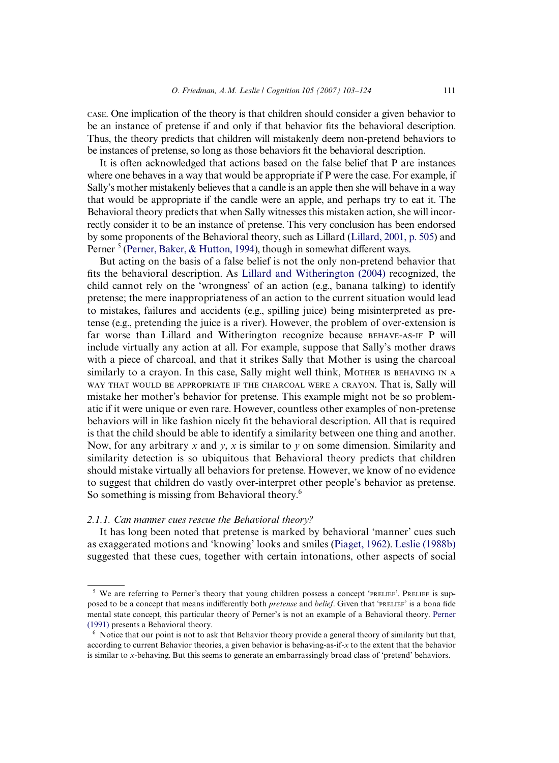CASE. One implication of the theory is that children should consider a given behavior to be an instance of pretense if and only if that behavior fits the behavioral description. Thus, the theory predicts that children will mistakenly deem non-pretend behaviors to be instances of pretense, so long as those behaviors fit the behavioral description.

It is often acknowledged that actions based on the false belief that P are instances where one behaves in a way that would be appropriate if P were the case. For example, if Sally's mother mistakenly believes that a candle is an apple then she will behave in a way that would be appropriate if the candle were an apple, and perhaps try to eat it. The Behavioral theory predicts that when Sally witnesses this mistaken action, she will incorrectly consider it to be an instance of pretense. This very conclusion has been endorsed by some proponents of the Behavioral theory, such as Lillard ([Lillard, 2001, p. 505\)](#page-20-12) and Perner<sup>5</sup> [\(Perner, Baker, & Hutton, 1994\)](#page-20-13), though in somewhat different ways.

But acting on the basis of a false belief is not the only non-pretend behavior that fits the behavioral description. As Lillard and Witherington  $(2004)$  recognized, the child cannot rely on the 'wrongness' of an action (e.g., banana talking) to identify pretense; the mere inappropriateness of an action to the current situation would lead to mistakes, failures and accidents (e.g., spilling juice) being misinterpreted as pretense (e.g., pretending the juice is a river). However, the problem of over-extension is far worse than Lillard and Witherington recognize because BEHAVE-AS-IF P will include virtually any action at all. For example, suppose that Sally's mother draws with a piece of charcoal, and that it strikes Sally that Mother is using the charcoal similarly to a crayon. In this case, Sally might well think, MOTHER IS BEHAVING IN <sup>A</sup> WAY THAT WOULD BE APPROPRIATE IF THE CHARCOAL WERE <sup>A</sup> CRAYON. That is, Sally will mistake her mother's behavior for pretense. This example might not be so problematic if it were unique or even rare. However, countless other examples of non-pretense behaviors will in like fashion nicely fit the behavioral description. All that is required is that the child should be able to identify a similarity between one thing and another. Now, for any arbitrary *x* and *y*, *x* is similar to *y* on some dimension. Similarity and similarity detection is so ubiquitous that Behavioral theory predicts that children should mistake virtually all behaviors for pretense. However, we know of no evidence to suggest that children do vastly over-interpret other people's behavior as pretense. So something is missing from Behavioral theory.<sup>6</sup>

# *2.1.1. Can manner cues rescue the Behavioral theory?*

It has long been noted that pretense is marked by behavioral 'manner' cues such as exaggerated motions and 'knowing' looks and smiles ([Piaget, 1962\)](#page-20-4). [Leslie \(1988b\)](#page-19-12) suggested that these cues, together with certain intonations, other aspects of social

<sup>&</sup>lt;sup>5</sup> We are referring to Perner's theory that young children possess a concept 'PRELIEF'. PRELIEF is supposed to be a concept that means indifferently both *pretense* and *belief*. Given that 'PRELIEF' is a bona fide mental state concept, this particular theory of Perner's is not an example of a Behavioral theory. [Perner](#page-20-9) [\(1991\)](#page-20-9) presents a Behavioral theory.

<sup>6</sup> Notice that our point is not to ask that Behavior theory provide a general theory of similarity but that, according to current Behavior theories, a given behavior is behaving-as-if-*x* to the extent that the behavior is similar to *x*-behaving. But this seems to generate an embarrassingly broad class of 'pretend' behaviors.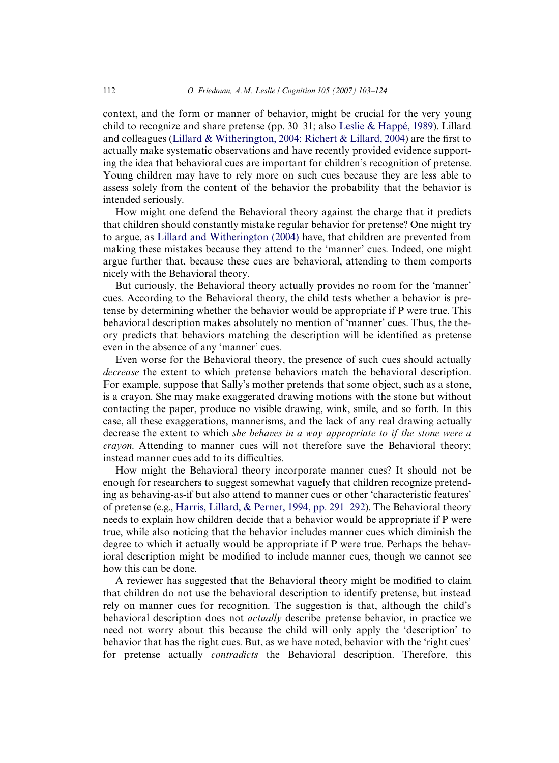context, and the form or manner of behavior, might be crucial for the very young child to recognize and share pretense (pp. 30–31; also [Leslie & Happé, 1989\)](#page-20-15). Lillard and colleagues ([Lillard & Witherington, 2004; Richert & Lillard, 2004](#page-20-14)) are the first to actually make systematic observations and have recently provided evidence supporting the idea that behavioral cues are important for children's recognition of pretense. Young children may have to rely more on such cues because they are less able to assess solely from the content of the behavior the probability that the behavior is intended seriously.

How might one defend the Behavioral theory against the charge that it predicts that children should constantly mistake regular behavior for pretense? One might try to argue, as [Lillard and Witherington \(2004\)](#page-20-14) have, that children are prevented from making these mistakes because they attend to the 'manner' cues. Indeed, one might argue further that, because these cues are behavioral, attending to them comports nicely with the Behavioral theory.

But curiously, the Behavioral theory actually provides no room for the 'manner' cues. According to the Behavioral theory, the child tests whether a behavior is pretense by determining whether the behavior would be appropriate if P were true. This behavioral description makes absolutely no mention of 'manner' cues. Thus, the theory predicts that behaviors matching the description will be identified as pretense even in the absence of any 'manner' cues.

Even worse for the Behavioral theory, the presence of such cues should actually *decrease* the extent to which pretense behaviors match the behavioral description. For example, suppose that Sally's mother pretends that some object, such as a stone, is a crayon. She may make exaggerated drawing motions with the stone but without contacting the paper, produce no visible drawing, wink, smile, and so forth. In this case, all these exaggerations, mannerisms, and the lack of any real drawing actually decrease the extent to which *she behaves in a way appropriate to if the stone were a crayon*. Attending to manner cues will not therefore save the Behavioral theory; instead manner cues add to its difficulties.

How might the Behavioral theory incorporate manner cues? It should not be enough for researchers to suggest somewhat vaguely that children recognize pretending as behaving-as-if but also attend to manner cues or other 'characteristic features' of pretense (e.g., [Harris, Lillard, & Perner, 1994, pp. 291–292\)](#page-19-13). The Behavioral theory needs to explain how children decide that a behavior would be appropriate if P were true, while also noticing that the behavior includes manner cues which diminish the degree to which it actually would be appropriate if P were true. Perhaps the behavioral description might be modified to include manner cues, though we cannot see how this can be done.

A reviewer has suggested that the Behavioral theory might be modified to claim that children do not use the behavioral description to identify pretense, but instead rely on manner cues for recognition. The suggestion is that, although the child's behavioral description does not *actually* describe pretense behavior, in practice we need not worry about this because the child will only apply the 'description' to behavior that has the right cues. But, as we have noted, behavior with the 'right cues' for pretense actually *contradicts* the Behavioral description. Therefore, this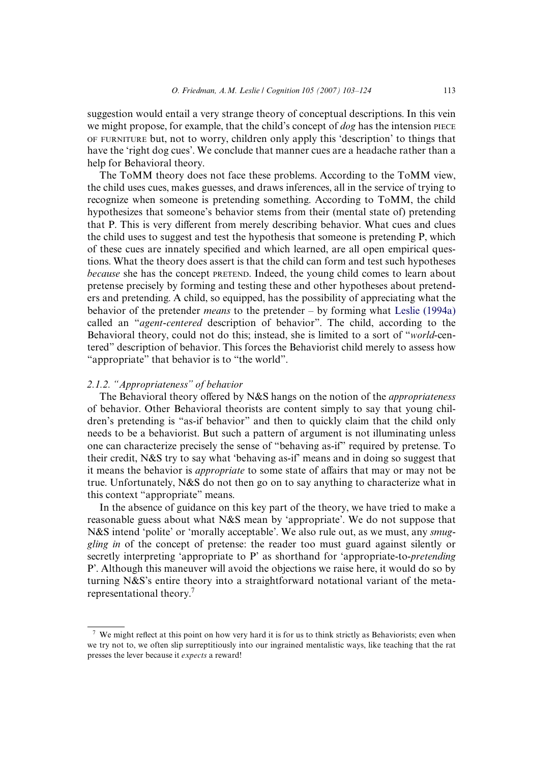suggestion would entail a very strange theory of conceptual descriptions. In this vein we might propose, for example, that the child's concept of *dog* has the intension PIECE OF FURNITURE but, not to worry, children only apply this 'description' to things that have the 'right dog cues'. We conclude that manner cues are a headache rather than a help for Behavioral theory.

The ToMM theory does not face these problems. According to the ToMM view, the child uses cues, makes guesses, and draws inferences, all in the service of trying to recognize when someone is pretending something. According to ToMM, the child hypothesizes that someone's behavior stems from their (mental state of) pretending that P. This is very different from merely describing behavior. What cues and clues the child uses to suggest and test the hypothesis that someone is pretending P, which of these cues are innately specified and which learned, are all open empirical questions. What the theory does assert is that the child can form and test such hypotheses *because* she has the concept PRETEND. Indeed, the young child comes to learn about pretense precisely by forming and testing these and other hypotheses about pretenders and pretending. A child, so equipped, has the possibility of appreciating what the behavior of the pretender *means* to the pretender – by forming what [Leslie \(1994a\)](#page-19-9) called an "*agent-centered* description of behavior". The child, according to the Behavioral theory, could not do this; instead, she is limited to a sort of "*world*-centered" description of behavior. This forces the Behaviorist child merely to assess how "appropriate" that behavior is to "the world".

# *2.1.2. "Appropriateness" of behavior*

The Behavioral theory offered by N&S hangs on the notion of the *appropriateness* of behavior. Other Behavioral theorists are content simply to say that young children's pretending is "as-if behavior" and then to quickly claim that the child only needs to be a behaviorist. But such a pattern of argument is not illuminating unless one can characterize precisely the sense of "behaving as-if" required by pretense. To their credit, N&S try to say what 'behaving as-if' means and in doing so suggest that it means the behavior is *appropriate* to some state of affairs that may or may not be true. Unfortunately, N&S do not then go on to say anything to characterize what in this context "appropriate" means.

In the absence of guidance on this key part of the theory, we have tried to make a reasonable guess about what N&S mean by 'appropriate'. We do not suppose that N&S intend 'polite' or 'morally acceptable'. We also rule out, as we must, any *smuggling in* of the concept of pretense: the reader too must guard against silently or secretly interpreting 'appropriate to P' as shorthand for 'appropriate-to-*pretending* P'. Although this maneuver will avoid the objections we raise here, it would do so by turning N&S's entire theory into a straightforward notational variant of the metarepresentational theory.7

<sup>&</sup>lt;sup>7</sup> We might reflect at this point on how very hard it is for us to think strictly as Behaviorists; even when we try not to, we often slip surreptitiously into our ingrained mentalistic ways, like teaching that the rat presses the lever because it *expects* a reward!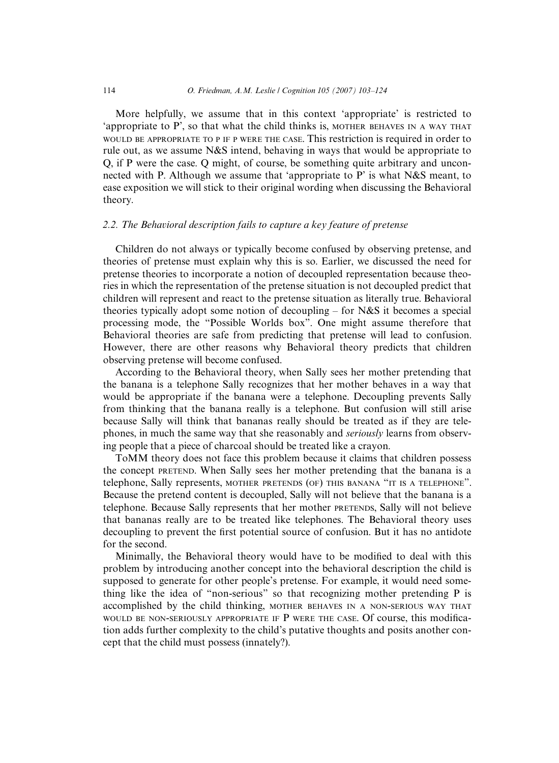More helpfully, we assume that in this context 'appropriate' is restricted to 'appropriate to P', so that what the child thinks is, MOTHER BEHAVES IN <sup>A</sup> WAY THAT WOULD BE APPROPRIATE TO <sup>P</sup> IF <sup>P</sup> WERE THE CASE. This restriction is required in order to rule out, as we assume N&S intend, behaving in ways that would be appropriate to Q, if P were the case. Q might, of course, be something quite arbitrary and unconnected with P. Although we assume that 'appropriate to P' is what N&S meant, to ease exposition we will stick to their original wording when discussing the Behavioral theory.

# *2.2. The Behavioral description fails to capture a key feature of pretense*

Children do not always or typically become confused by observing pretense, and theories of pretense must explain why this is so. Earlier, we discussed the need for pretense theories to incorporate a notion of decoupled representation because theories in which the representation of the pretense situation is not decoupled predict that children will represent and react to the pretense situation as literally true. Behavioral theories typically adopt some notion of decoupling – for  $N&S$  it becomes a special processing mode, the "Possible Worlds box". One might assume therefore that Behavioral theories are safe from predicting that pretense will lead to confusion. However, there are other reasons why Behavioral theory predicts that children observing pretense will become confused.

According to the Behavioral theory, when Sally sees her mother pretending that the banana is a telephone Sally recognizes that her mother behaves in a way that would be appropriate if the banana were a telephone. Decoupling prevents Sally from thinking that the banana really is a telephone. But confusion will still arise because Sally will think that bananas really should be treated as if they are telephones, in much the same way that she reasonably and *seriously* learns from observing people that a piece of charcoal should be treated like a crayon.

ToMM theory does not face this problem because it claims that children possess the concept PRETEND. When Sally sees her mother pretending that the banana is a telephone, Sally represents, MOTHER PRETENDS (OF) THIS BANANA "IT IS <sup>A</sup> TELEPHONE". Because the pretend content is decoupled, Sally will not believe that the banana is a telephone. Because Sally represents that her mother PRETENDS, Sally will not believe that bananas really are to be treated like telephones. The Behavioral theory uses decoupling to prevent the first potential source of confusion. But it has no antidote for the second.

Minimally, the Behavioral theory would have to be modified to deal with this problem by introducing another concept into the behavioral description the child is supposed to generate for other people's pretense. For example, it would need something like the idea of "non-serious" so that recognizing mother pretending P is accomplished by the child thinking, MOTHER BEHAVES IN <sup>A</sup> NON-SERIOUS WAY THAT WOULD BE NON-SERIOUSLY APPROPRIATE IF  $P$  were the case. Of course, this modification adds further complexity to the child's putative thoughts and posits another concept that the child must possess (innately?).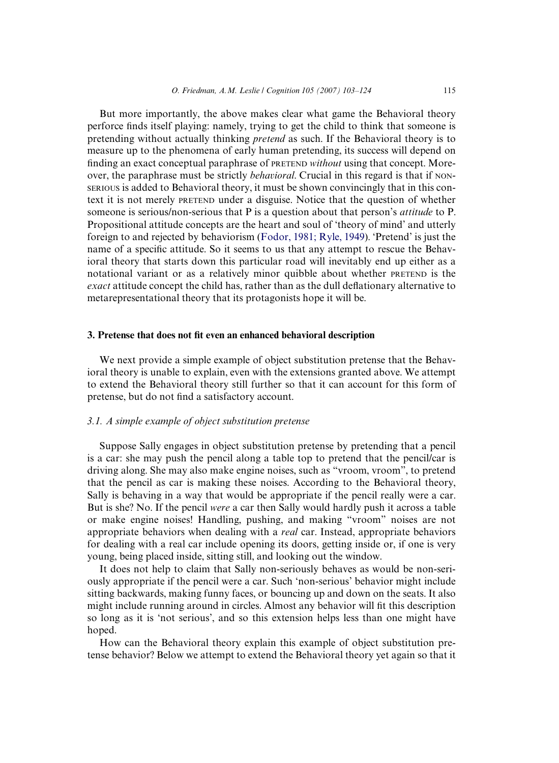But more importantly, the above makes clear what game the Behavioral theory perforce finds itself playing: namely, trying to get the child to think that someone is pretending without actually thinking *pretend* as such. If the Behavioral theory is to measure up to the phenomena of early human pretending, its success will depend on finding an exact conceptual paraphrase of PRETEND *without* using that concept. Moreover, the paraphrase must be strictly *behavioral*. Crucial in this regard is that if NON-SERIOUS is added to Behavioral theory, it must be shown convincingly that in this context it is not merely PRETEND under a disguise. Notice that the question of whether someone is serious/non-serious that P is a question about that person's *attitude* to P. Propositional attitude concepts are the heart and soul of 'theory of mind' and utterly foreign to and rejected by behaviorism ([Fodor, 1981; Ryle, 1949](#page-19-14)). 'Pretend' is just the name of a specific attitude. So it seems to us that any attempt to rescue the Behavioral theory that starts down this particular road will inevitably end up either as a notational variant or as a relatively minor quibble about whether PRETEND is the *exact* attitude concept the child has, rather than as the dull deflationary alternative to metarepresentational theory that its protagonists hope it will be.

#### <span id="page-12-0"></span>**3. Pretense that does not fit even an enhanced behavioral description**

We next provide a simple example of object substitution pretense that the Behavioral theory is unable to explain, even with the extensions granted above. We attempt to extend the Behavioral theory still further so that it can account for this form of pretense, but do not find a satisfactory account.

# *3.1. A simple example of object substitution pretense*

Suppose Sally engages in object substitution pretense by pretending that a pencil is a car: she may push the pencil along a table top to pretend that the pencil/car is driving along. She may also make engine noises, such as "vroom, vroom", to pretend that the pencil as car is making these noises. According to the Behavioral theory, Sally is behaving in a way that would be appropriate if the pencil really were a car. But is she? No. If the pencil *were* a car then Sally would hardly push it across a table or make engine noises! Handling, pushing, and making "vroom" noises are not appropriate behaviors when dealing with a *real* car. Instead, appropriate behaviors for dealing with a real car include opening its doors, getting inside or, if one is very young, being placed inside, sitting still, and looking out the window.

It does not help to claim that Sally non-seriously behaves as would be non-seriously appropriate if the pencil were a car. Such 'non-serious' behavior might include sitting backwards, making funny faces, or bouncing up and down on the seats. It also might include running around in circles. Almost any behavior will fit this description so long as it is 'not serious', and so this extension helps less than one might have hoped.

How can the Behavioral theory explain this example of object substitution pretense behavior? Below we attempt to extend the Behavioral theory yet again so that it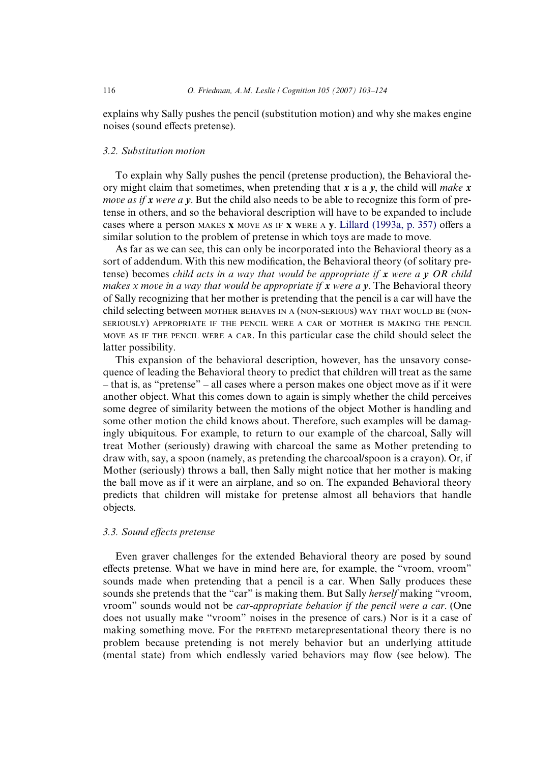explains why Sally pushes the pencil (substitution motion) and why she makes engine noises (sound effects pretense).

# *3.2. Substitution motion*

To explain why Sally pushes the pencil (pretense production), the Behavioral theory might claim that sometimes, when pretending that  $x$  is a  $y$ , the child will *make*  $x$ *move as if x were a y*. But the child also needs to be able to recognize this form of pretense in others, and so the behavioral description will have to be expanded to include cases where a person MAKES **x** MOVE AS IF **x** WERE A **y**. [Lillard \(1993a, p. 357\)](#page-20-0) offers a similar solution to the problem of pretense in which toys are made to move.

As far as we can see, this can only be incorporated into the Behavioral theory as a sort of addendum. With this new modification, the Behavioral theory (of solitary pretense) becomes *child acts in a way that would be appropriate if x were a y OR child makes x move in a way that would be appropriate if x were a y*. The Behavioral theory of Sally recognizing that her mother is pretending that the pencil is a car will have the child selecting between MOTHER BEHAVES IN A (NON-SERIOUS) WAY THAT WOULD BE (NON-SERIOUSLY) APPROPRIATE IF THE PENCIL WERE <sup>A</sup> CAR or MOTHER IS MAKING THE PENCIL MOVE AS IF THE PENCIL WERE <sup>A</sup> CAR. In this particular case the child should select the latter possibility.

This expansion of the behavioral description, however, has the unsavory consequence of leading the Behavioral theory to predict that children will treat as the same – that is, as "pretense" – all cases where a person makes one object move as if it were another object. What this comes down to again is simply whether the child perceives some degree of similarity between the motions of the object Mother is handling and some other motion the child knows about. Therefore, such examples will be damagingly ubiquitous. For example, to return to our example of the charcoal, Sally will treat Mother (seriously) drawing with charcoal the same as Mother pretending to draw with, say, a spoon (namely, as pretending the charcoal/spoon is a crayon). Or, if Mother (seriously) throws a ball, then Sally might notice that her mother is making the ball move as if it were an airplane, and so on. The expanded Behavioral theory predicts that children will mistake for pretense almost all behaviors that handle objects.

# *3.3. Sound effects pretense*

Even graver challenges for the extended Behavioral theory are posed by sound effects pretense. What we have in mind here are, for example, the "vroom, vroom" sounds made when pretending that a pencil is a car. When Sally produces these sounds she pretends that the "car" is making them. But Sally *herself* making "vroom, vroom" sounds would not be *car-appropriate behavior if the pencil were a car*. (One does not usually make "vroom" noises in the presence of cars.) Nor is it a case of making something move. For the PRETEND metarepresentational theory there is no problem because pretending is not merely behavior but an underlying attitude (mental state) from which endlessly varied behaviors may flow (see below). The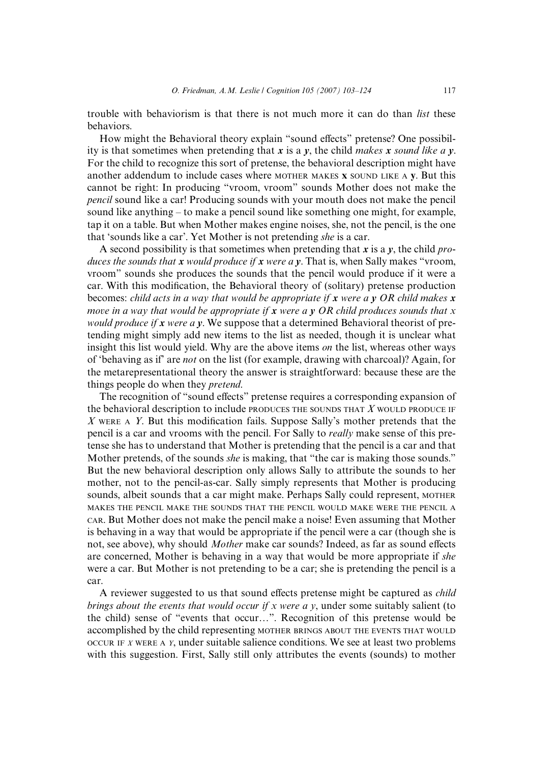trouble with behaviorism is that there is not much more it can do than *list* these behaviors.

How might the Behavioral theory explain "sound effects" pretense? One possibility is that sometimes when pretending that *x* is a *y*, the child *makes x sound like a y*. For the child to recognize this sort of pretense, the behavioral description might have another addendum to include cases where MOTHER MAKES **x** SOUND LIKE <sup>A</sup> **y**. But this cannot be right: In producing "vroom, vroom" sounds Mother does not make the *pencil* sound like a car! Producing sounds with your mouth does not make the pencil sound like anything – to make a pencil sound like something one might, for example, tap it on a table. But when Mother makes engine noises, she, not the pencil, is the one that 'sounds like a car'. Yet Mother is not pretending *she* is a car.

A second possibility is that sometimes when pretending that *x* is a *y*, the child *produces the sounds that x would produce if x were a y*. That is, when Sally makes "vroom, vroom" sounds she produces the sounds that the pencil would produce if it were a car. With this modification, the Behavioral theory of (solitary) pretense production becomes: *child acts in a way that would be appropriate if x were a y OR child makes x move in a way that would be appropriate if x were a y OR child produces sounds that x would produce if x were a y*. We suppose that a determined Behavioral theorist of pretending might simply add new items to the list as needed, though it is unclear what insight this list would yield. Why are the above items *on* the list, whereas other ways of 'behaving as if' are *not* on the list (for example, drawing with charcoal)? Again, for the metarepresentational theory the answer is straightforward: because these are the things people do when they *pretend*.

The recognition of "sound effects" pretense requires a corresponding expansion of the behavioral description to include PRODUCES THE SOUNDS THAT *X* WOULD PRODUCE IF  $X$  WERE A  $Y$ . But this modification fails. Suppose Sally's mother pretends that the pencil is a car and vrooms with the pencil. For Sally to *really* make sense of this pretense she has to understand that Mother is pretending that the pencil is a car and that Mother pretends, of the sounds *she* is making, that "the car is making those sounds." But the new behavioral description only allows Sally to attribute the sounds to her mother, not to the pencil-as-car. Sally simply represents that Mother is producing sounds, albeit sounds that a car might make. Perhaps Sally could represent, MOTHER MAKES THE PENCIL MAKE THE SOUNDS THAT THE PENCIL WOULD MAKE WERE THE PENCIL A CAR. But Mother does not make the pencil make a noise! Even assuming that Mother is behaving in a way that would be appropriate if the pencil were a car (though she is not, see above), why should *Mother* make car sounds? Indeed, as far as sound effects are concerned, Mother is behaving in a way that would be more appropriate if *she* were a car. But Mother is not pretending to be a car; she is pretending the pencil is a car.

A reviewer suggested to us that sound effects pretense might be captured as *child brings about the events that would occur if x were a y*, under some suitably salient (to the child) sense of "events that occur...". Recognition of this pretense would be accomplished by the child representing MOTHER BRINGS ABOUT THE EVENTS THAT WOULD OCCUR IF *<sup>X</sup>* WERE <sup>A</sup> *<sup>Y</sup>*, under suitable salience conditions. We see at least two problems with this suggestion. First, Sally still only attributes the events (sounds) to mother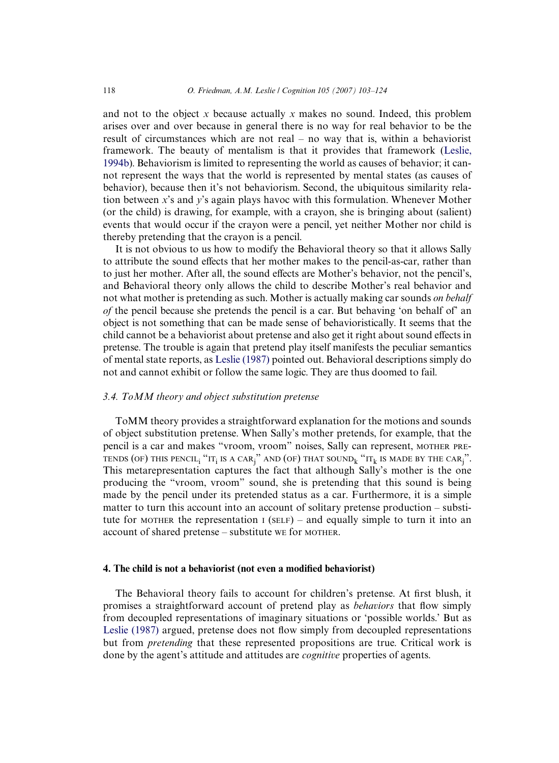and not to the object *x* because actually *x* makes no sound. Indeed, this problem arises over and over because in general there is no way for real behavior to be the result of circumstances which are not real – no way that is, within a behaviorist framework. The beauty of mentalism is that it provides that framework [\(Leslie,](#page-19-15) [1994b\)](#page-19-15). Behaviorism is limited to representing the world as causes of behavior; it cannot represent the ways that the world is represented by mental states (as causes of behavior), because then it's not behaviorism. Second, the ubiquitous similarity relation between *x*'s and *y*'s again plays havoc with this formulation. Whenever Mother (or the child) is drawing, for example, with a crayon, she is bringing about (salient) events that would occur if the crayon were a pencil, yet neither Mother nor child is thereby pretending that the crayon is a pencil.

It is not obvious to us how to modify the Behavioral theory so that it allows Sally to attribute the sound effects that her mother makes to the pencil-as-car, rather than to just her mother. After all, the sound effects are Mother's behavior, not the pencil's, and Behavioral theory only allows the child to describe Mother's real behavior and not what mother is pretending as such. Mother is actually making car sounds *on behalf of* the pencil because she pretends the pencil is a car. But behaving 'on behalf of' an object is not something that can be made sense of behavioristically. It seems that the child cannot be a behaviorist about pretense and also get it right about sound effects in pretense. The trouble is again that pretend play itself manifests the peculiar semantics of mental state reports, as [Leslie \(1987\)](#page-19-2) pointed out. Behavioral descriptions simply do not and cannot exhibit or follow the same logic. They are thus doomed to fail.

## *3.4. ToMM theory and object substitution pretense*

ToMM theory provides a straightforward explanation for the motions and sounds of object substitution pretense. When Sally's mother pretends, for example, that the pencil is a car and makes "vroom, vroom" noises, Sally can represent, MOTHER PRE-TENDS (OF) THIS PENCIL<sub>i</sub> "It<sub>i</sub> is a car<sub>j</sub>" and (of) that sound<sub>k</sub> "It<sub>k</sub> is made by the car<sub>j</sub>". This metarepresentation captures the fact that although Sally's mother is the one producing the "vroom, vroom" sound, she is pretending that this sound is being made by the pencil under its pretended status as a car. Furthermore, it is a simple matter to turn this account into an account of solitary pretense production – substitute for MOTHER the representation  $I$  (SELF) – and equally simple to turn it into an account of shared pretense – substitute WE for MOTHER.

#### <span id="page-15-0"></span>**4.** The child is not a behaviorist (not even a modified behaviorist)

The Behavioral theory fails to account for children's pretense. At first blush, it promises a straightforward account of pretend play as *behaviors* that flow simply from decoupled representations of imaginary situations or 'possible worlds.' But as [Leslie \(1987\)](#page-19-2) argued, pretense does not flow simply from decoupled representations but from *pretending* that these represented propositions are true. Critical work is done by the agent's attitude and attitudes are *cognitive* properties of agents.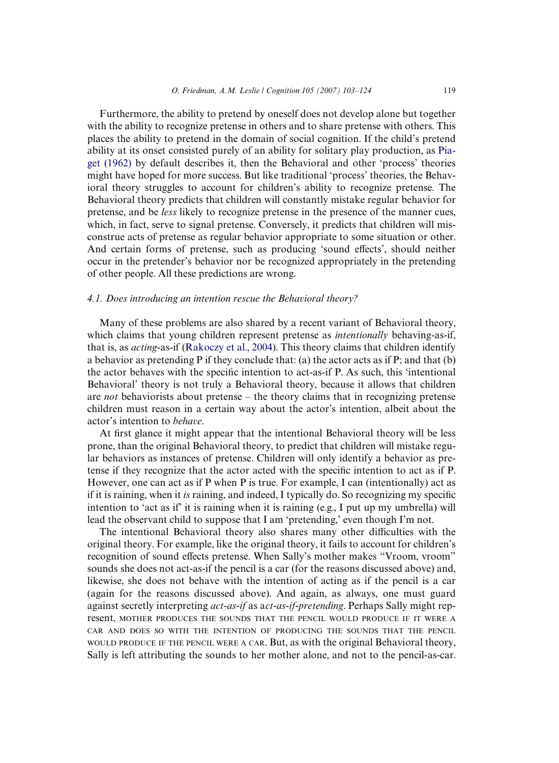Furthermore, the ability to pretend by oneself does not develop alone but together with the ability to recognize pretense in others and to share pretense with others. This places the ability to pretend in the domain of social cognition. If the child's pretend ability at its onset consisted purely of an ability for solitary play production, as [Pia](#page-20-4)[get \(1962\)](#page-20-4) by default describes it, then the Behavioral and other 'process' theories might have hoped for more success. But like traditional 'process' theories, the Behavioral theory struggles to account for children's ability to recognize pretense. The Behavioral theory predicts that children will constantly mistake regular behavior for pretense, and be *less* likely to recognize pretense in the presence of the manner cues, which, in fact, serve to signal pretense. Conversely, it predicts that children will misconstrue acts of pretense as regular behavior appropriate to some situation or other. And certain forms of pretense, such as producing 'sound effects', should neither occur in the pretender's behavior nor be recognized appropriately in the pretending of other people. All these predictions are wrong.

# *4.1. Does introducing an intention rescue the Behavioral theory?*

Many of these problems are also shared by a recent variant of Behavioral theory, which claims that young children represent pretense as *intentionally* behaving-as-if, that is, as *acting*-as-if [\(Rakoczy et al., 2004](#page-20-2)). This theory claims that children identify a behavior as pretending  $P$  if they conclude that: (a) the actor acts as if  $P$ ; and that (b) the actor behaves with the specific intention to act-as-if P. As such, this 'intentional Behavioral' theory is not truly a Behavioral theory, because it allows that children are *not* behaviorists about pretense – the theory claims that in recognizing pretense children must reason in a certain way about the actor's intention, albeit about the actor's intention to *behave*.

At first glance it might appear that the intentional Behavioral theory will be less prone, than the original Behavioral theory, to predict that children will mistake regular behaviors as instances of pretense. Children will only identify a behavior as pretense if they recognize that the actor acted with the specific intention to act as if P. However, one can act as if P when P is true. For example, I can (intentionally) act as if it is raining, when it *is* raining, and indeed, I typically do. So recognizing my specific intention to 'act as if' it is raining when it is raining (e.g., I put up my umbrella) will lead the observant child to suppose that I am 'pretending,' even though I'm not.

The intentional Behavioral theory also shares many other difficulties with the original theory. For example, like the original theory, it fails to account for children's recognition of sound effects pretense. When Sally's mother makes "Vroom, vroom" sounds she does not act-as-if the pencil is a car (for the reasons discussed above) and, likewise, she does not behave with the intention of acting as if the pencil is a car (again for the reasons discussed above). And again, as always, one must guard against secretly interpreting *act-as-if* as a*ct-as-if-pretending*. Perhaps Sally might represent, MOTHER PRODUCES THE SOUNDS THAT THE PENCIL WOULD PRODUCE IF IT WERE <sup>A</sup> CAR AND DOES SO WITH THE INTENTION OF PRODUCING THE SOUNDS THAT THE PENCIL WOULD PRODUCE IF THE PENCIL WERE <sup>A</sup> CAR. But, as with the original Behavioral theory, Sally is left attributing the sounds to her mother alone, and not to the pencil-as-car.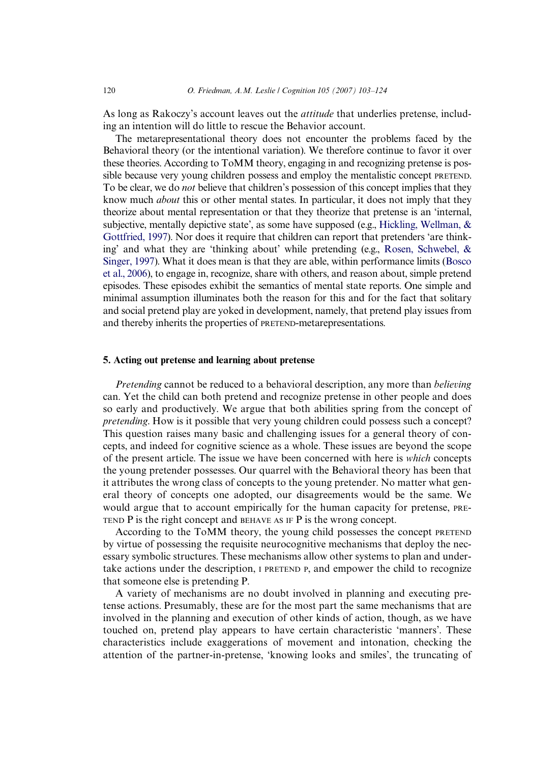As long as Rakoczy's account leaves out the *attitude* that underlies pretense, including an intention will do little to rescue the Behavior account.

The metarepresentational theory does not encounter the problems faced by the Behavioral theory (or the intentional variation). We therefore continue to favor it over these theories. According to ToMM theory, engaging in and recognizing pretense is possible because very young children possess and employ the mentalistic concept PRETEND. To be clear, we do *not* believe that children's possession of this concept implies that they know much *about* this or other mental states. In particular, it does not imply that they theorize about mental representation or that they theorize that pretense is an 'internal, subjective, mentally depictive state', as some have supposed (e.g., [Hickling, Wellman, &](#page-19-16) [Gottfried, 1997\)](#page-19-16). Nor does it require that children can report that pretenders 'are thinking' and what they are 'thinking about' while pretending (e.g., [Rosen, Schwebel, &](#page-20-16) [Singer, 1997](#page-20-16)). What it does mean is that they are able, within performance limits [\(Bosco](#page-19-3) [et al., 2006](#page-19-3)), to engage in, recognize, share with others, and reason about, simple pretend episodes. These episodes exhibit the semantics of mental state reports. One simple and minimal assumption illuminates both the reason for this and for the fact that solitary and social pretend play are yoked in development, namely, that pretend play issues from and thereby inherits the properties of PRETEND-metarepresentations.

# **5. Acting out pretense and learning about pretense**

*Pretending* cannot be reduced to a behavioral description, any more than *believing* can. Yet the child can both pretend and recognize pretense in other people and does so early and productively. We argue that both abilities spring from the concept of *pretending*. How is it possible that very young children could possess such a concept? This question raises many basic and challenging issues for a general theory of concepts, and indeed for cognitive science as a whole. These issues are beyond the scope of the present article. The issue we have been concerned with here is *which* concepts the young pretender possesses. Our quarrel with the Behavioral theory has been that it attributes the wrong class of concepts to the young pretender. No matter what general theory of concepts one adopted, our disagreements would be the same. We would argue that to account empirically for the human capacity for pretense, PRE-TEND  $P$  is the right concept and BEHAVE AS IF  $P$  is the wrong concept.

According to the ToMM theory, the young child possesses the concept PRETEND by virtue of possessing the requisite neurocognitive mechanisms that deploy the necessary symbolic structures. These mechanisms allow other systems to plan and undertake actions under the description, I PRETEND P, and empower the child to recognize that someone else is pretending P.

A variety of mechanisms are no doubt involved in planning and executing pretense actions. Presumably, these are for the most part the same mechanisms that are involved in the planning and execution of other kinds of action, though, as we have touched on, pretend play appears to have certain characteristic 'manners'. These characteristics include exaggerations of movement and intonation, checking the attention of the partner-in-pretense, 'knowing looks and smiles', the truncating of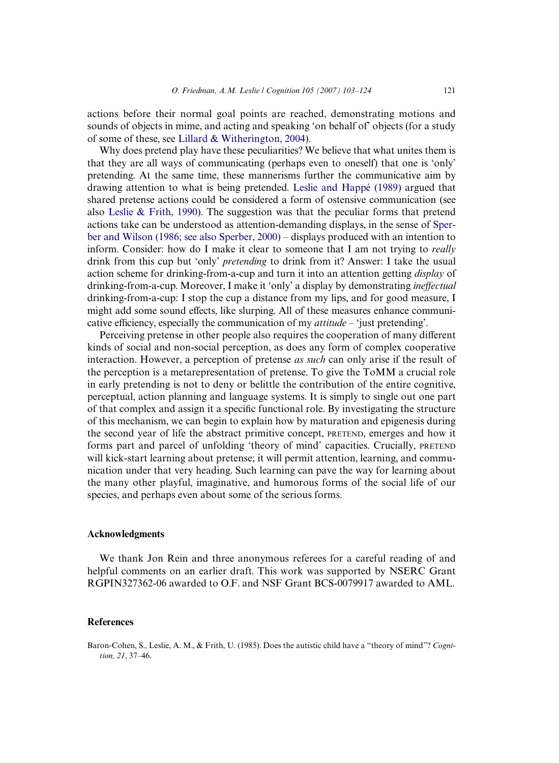actions before their normal goal points are reached, demonstrating motions and sounds of objects in mime, and acting and speaking 'on behalf of' objects (for a study of some of these, see [Lillard & Witherington, 2004](#page-20-14)).

Why does pretend play have these peculiarities? We believe that what unites them is that they are all ways of communicating (perhaps even to oneself) that one is 'only' pretending. At the same time, these mannerisms further the communicative aim by drawing attention to what is being pretended. [Leslie and Happé \(1989\)](#page-20-15) argued that shared pretense actions could be considered a form of ostensive communication (see also [Leslie & Frith, 1990](#page-20-6)). The suggestion was that the peculiar forms that pretend actions take can be understood as attention-demanding displays, in the sense of [Sper](#page-20-17)[ber and Wilson \(1986; see also Sperber, 2000\)](#page-20-17) – displays produced with an intention to inform. Consider: how do I make it clear to someone that I am not trying to *really* drink from this cup but 'only' *pretending* to drink from it? Answer: I take the usual action scheme for drinking-from-a-cup and turn it into an attention getting *display* of drinking-from-a-cup. Moreover, I make it 'only' a display by demonstrating *ineffectual* drinking-from-a-cup: I stop the cup a distance from my lips, and for good measure, I might add some sound effects, like slurping. All of these measures enhance communicative efficiency, especially the communication of my  $\textit{attitude}$  – 'just pretending'.

Perceiving pretense in other people also requires the cooperation of many different kinds of social and non-social perception, as does any form of complex cooperative interaction. However, a perception of pretense *as such* can only arise if the result of the perception is a metarepresentation of pretense. To give the ToMM a crucial role in early pretending is not to deny or belittle the contribution of the entire cognitive, perceptual, action planning and language systems. It is simply to single out one part of that complex and assign it a specific functional role. By investigating the structure of this mechanism, we can begin to explain how by maturation and epigenesis during the second year of life the abstract primitive concept, PRETEND, emerges and how it forms part and parcel of unfolding 'theory of mind' capacities. Crucially, PRETEND will kick-start learning about pretense; it will permit attention, learning, and communication under that very heading. Such learning can pave the way for learning about the many other playful, imaginative, and humorous forms of the social life of our species, and perhaps even about some of the serious forms.

## **Acknowledgments**

We thank Jon Rein and three anonymous referees for a careful reading of and helpful comments on an earlier draft. This work was supported by NSERC Grant RGPIN327362-06 awarded to O.F. and NSF Grant BCS-0079917 awarded to AML.

#### **References**

<span id="page-18-0"></span>Baron-Cohen, S., Leslie, A. M., & Frith, U. (1985). Does the autistic child have a "theory of mind"? *Cognition, 21*, 37–46.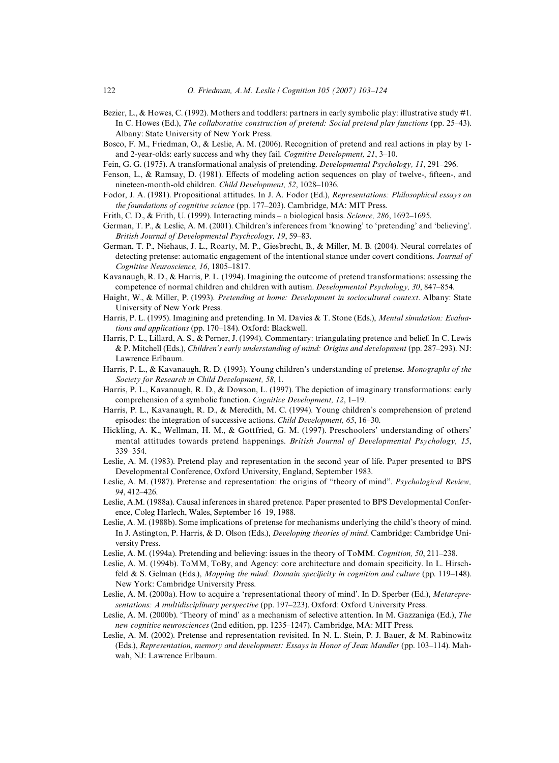- <span id="page-19-6"></span>Bezier, L., & Howes, C. (1992). Mothers and toddlers: partners in early symbolic play: illustrative study #1. In C. Howes (Ed.), *The collaborative construction of pretend: Social pretend play functions* (pp. 25–43). Albany: State University of New York Press.
- <span id="page-19-3"></span>Bosco, F. M., Friedman, O., & Leslie, A. M. (2006). Recognition of pretend and real actions in play by 1 and 2-year-olds: early success and why they fail. *Cognitive Development, 21*, 3–10.
- <span id="page-19-7"></span>Fein, G. G. (1975). A transformational analysis of pretending. *Developmental Psychology, 11*, 291–296.
- Fenson, L., & Ramsay, D. (1981). Effects of modeling action sequences on play of twelve-, fifteen-, and nineteen-month-old children. *Child Development, 52*, 1028–1036.
- <span id="page-19-14"></span>Fodor, J. A. (1981). Propositional attitudes. In J. A. Fodor (Ed.), *Representations: Philosophical essays on the foundations of cognitive science* (pp. 177–203). Cambridge, MA: MIT Press.
- Frith, C. D., & Frith, U. (1999). Interacting minds a biological basis. *Science, 286*, 1692–1695.
- <span id="page-19-11"></span>German, T. P., & Leslie, A. M. (2001). Children's inferences from 'knowing' to 'pretending' and 'believing'. *British Journal of Developmental Psychcology, 19*, 59–83.
- <span id="page-19-1"></span>German, T. P., Niehaus, J. L., Roarty, M. P., Giesbrecht, B., & Miller, M. B. (2004). Neural correlates of detecting pretense: automatic engagement of the intentional stance under covert conditions. *Journal of Cognitive Neuroscience, 16*, 1805–1817.
- Kavanaugh, R. D., & Harris, P. L. (1994). Imagining the outcome of pretend transformations: assessing the competence of normal children and children with autism. *Developmental Psychology, 30*, 847–854.
- Haight, W., & Miller, P. (1993). *Pretending at home: Development in sociocultural context*. Albany: State University of New York Press.
- <span id="page-19-8"></span>Harris, P. L. (1995). Imagining and pretending. In M. Davies & T. Stone (Eds.), *Mental simulation: Evaluations and applications* (pp. 170–184). Oxford: Blackwell.
- <span id="page-19-13"></span>Harris, P. L., Lillard, A. S., & Perner, J. (1994). Commentary: triangulating pretence and belief. In C. Lewis & P. Mitchell (Eds.), *Children's early understanding of mind: Origins and development* (pp. 287–293). NJ: Lawrence Erlbaum.
- <span id="page-19-4"></span>Harris, P. L., & Kavanaugh, R. D. (1993). Young children's understanding of pretense. *Monographs of the Society for Research in Child Development, 58*, 1.
- <span id="page-19-5"></span>Harris, P. L., Kavanaugh, R. D., & Dowson, L. (1997). The depiction of imaginary transformations: early comprehension of a symbolic function. *Cognitive Development, 12*, 1–19.
- Harris, P. L., Kavanaugh, R. D., & Meredith, M. C. (1994). Young children's comprehension of pretend episodes: the integration of successive actions. *Child Development, 65*, 16–30.
- <span id="page-19-16"></span>Hickling, A. K., Wellman, H. M., & Gottfried, G. M. (1997). Preschoolers' understanding of others' mental attitudes towards pretend happenings. *British Journal of Developmental Psychology, 15*, 339–354.
- <span id="page-19-0"></span>Leslie, A. M. (1983). Pretend play and representation in the second year of life. Paper presented to BPS Developmental Conference, Oxford University, England, September 1983.
- <span id="page-19-2"></span>Leslie, A. M. (1987). Pretense and representation: the origins of "theory of mind". *Psychological Review, 94*, 412–426.
- Leslie, A.M. (1988a). Causal inferences in shared pretence. Paper presented to BPS Developmental Conference, Coleg Harlech, Wales, September 16–19, 1988.
- <span id="page-19-12"></span>Leslie, A. M. (1988b). Some implications of pretense for mechanisms underlying the child's theory of mind. In J. Astington, P. Harris, & D. Olson (Eds.), *Developing theories of mind*. Cambridge: Cambridge University Press.
- <span id="page-19-9"></span>Leslie, A. M. (1994a). Pretending and believing: issues in the theory of ToMM. *Cognition, 50*, 211–238.
- <span id="page-19-15"></span>Leslie, A. M. (1994b). ToMM, ToBy, and Agency: core architecture and domain specificity. In L. Hirschfeld & S. Gelman (Eds.), *Mapping the mind: Domain specificity in cognition and culture* (pp. 119–148). New York: Cambridge University Press.
- Leslie, A. M. (2000a). How to acquire a 'representational theory of mind'. In D. Sperber (Ed.), *Metarepresentations: A multidisciplinary perspective* (pp. 197–223). Oxford: Oxford University Press.
- <span id="page-19-10"></span>Leslie, A. M. (2000b). 'Theory of mind' as a mechanism of selective attention. In M. Gazzaniga (Ed.), *The new cognitive neurosciences* (2nd edition, pp. 1235–1247). Cambridge, MA: MIT Press.
- Leslie, A. M. (2002). Pretense and representation revisited. In N. L. Stein, P. J. Bauer, & M. Rabinowitz (Eds.), *Representation, memory and development: Essays in Honor of Jean Mandler* (pp. 103–114). Mahwah, NJ: Lawrence Erlbaum.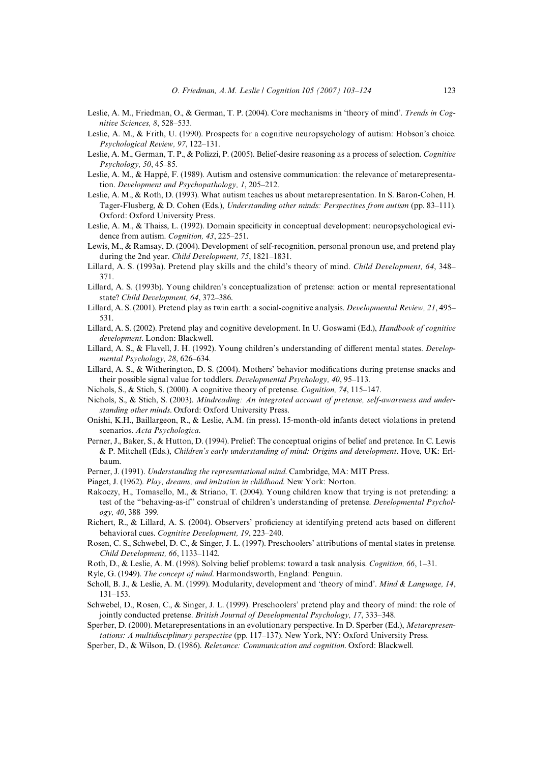- Leslie, A. M., Friedman, O., & German, T. P. (2004). Core mechanisms in 'theory of mind'. *Trends in Cognitive Sciences, 8*, 528–533.
- <span id="page-20-6"></span>Leslie, A. M., & Frith, U. (1990). Prospects for a cognitive neuropsychology of autism: Hobson's choice. *Psychological Review, 97*, 122–131.
- Leslie, A. M., German, T. P., & Polizzi, P. (2005). Belief-desire reasoning as a process of selection. *Cognitive Psychology, 50*, 45–85.
- <span id="page-20-15"></span>Leslie, A. M., & Happé, F. (1989). Autism and ostensive communication: the relevance of metarepresentation. *Development and Psychopathology, 1*, 205–212.
- Leslie, A. M., & Roth, D. (1993). What autism teaches us about metarepresentation. In S. Baron-Cohen, H. Tager-Flusberg, & D. Cohen (Eds.), *Understanding other minds: Perspectives from autism* (pp. 83–111). Oxford: Oxford University Press.
- <span id="page-20-10"></span>Leslie, A. M., & Thaiss, L. (1992). Domain specificity in conceptual development: neuropsychological evidence from autism. *Cognition, 43*, 225–251.
- <span id="page-20-7"></span>Lewis, M., & Ramsay, D. (2004). Development of self-recognition, personal pronoun use, and pretend play during the 2nd year. *Child Development, 75*, 1821–1831.
- <span id="page-20-0"></span>Lillard, A. S. (1993a). Pretend play skills and the child's theory of mind. *Child Development, 64*, 348– 371.
- <span id="page-20-11"></span>Lillard, A. S. (1993b). Young children's conceptualization of pretense: action or mental representational state? *Child Development, 64*, 372–386.
- <span id="page-20-12"></span>Lillard, A. S. (2001). Pretend play as twin earth: a social-cognitive analysis. *Developmental Review, 21*, 495– 531.
- <span id="page-20-1"></span>Lillard, A. S. (2002). Pretend play and cognitive development. In U. Goswami (Ed.), *Handbook of cognitive development*. London: Blackwell.
- Lillard, A. S., & Flavell, J. H. (1992). Young children's understanding of different mental states. *Developmental Psychology, 28*, 626–634.
- <span id="page-20-14"></span>Lillard, A. S., & Witherington, D. S. (2004). Mothers' behavior modifications during pretense snacks and their possible signal value for toddlers. *Developmental Psychology, 40*, 95–113.
- <span id="page-20-8"></span>Nichols, S., & Stich, S. (2000). A cognitive theory of pretense. *Cognition, 74*, 115–147.
- Nichols, S., & Stich, S. (2003). *Mindreading: An integrated account of pretense, self-awareness and understanding other minds*. Oxford: Oxford University Press.
- <span id="page-20-3"></span>Onishi, K.H., Baillargeon, R., & Leslie, A.M. (in press). 15-month-old infants detect violations in pretend scenarios. *Acta Psychologica*.
- <span id="page-20-13"></span>Perner, J., Baker, S., & Hutton, D. (1994). Prelief: The conceptual origins of belief and pretence. In C. Lewis & P. Mitchell (Eds.), *Children's early understanding of mind: Origins and development*. Hove, UK: Erlbaum.
- <span id="page-20-9"></span>Perner, J. (1991). *Understanding the representational mind*. Cambridge, MA: MIT Press.
- <span id="page-20-4"></span>Piaget, J. (1962). *Play, dreams, and imitation in childhood*. New York: Norton.
- <span id="page-20-2"></span>Rakoczy, H., Tomasello, M., & Striano, T. (2004). Young children know that trying is not pretending: a test of the "behaving-as-if" construal of children's understanding of pretense. *Developmental Psychology, 40*, 388–399.
- Richert, R., & Lillard, A. S. (2004). Observers' proficiency at identifying pretend acts based on different behavioral cues. *Cognitive Development, 19*, 223–240.
- <span id="page-20-16"></span>Rosen, C. S., Schwebel, D. C., & Singer, J. L. (1997). Preschoolers' attributions of mental states in pretense. *Child Development, 66*, 1133–1142.
- Roth, D., & Leslie, A. M. (1998). Solving belief problems: toward a task analysis. *Cognition, 66*, 1–31.
- Ryle, G. (1949). *The concept of mind*. Harmondsworth, England: Penguin.
- Scholl, B. J., & Leslie, A. M. (1999). Modularity, development and 'theory of mind'. *Mind & Language, 14*, 131–153.
- <span id="page-20-5"></span>Schwebel, D., Rosen, C., & Singer, J. L. (1999). Preschoolers' pretend play and theory of mind: the role of jointly conducted pretense. *British Journal of Developmental Psychology, 17*, 333–348.
- Sperber, D. (2000). Metarepresentations in an evolutionary perspective. In D. Sperber (Ed.), *Metarepresentations: A multidisciplinary perspective* (pp. 117–137). New York, NY: Oxford University Press.
- <span id="page-20-17"></span>Sperber, D., & Wilson, D. (1986). *Relevance: Communication and cognition*. Oxford: Blackwell.